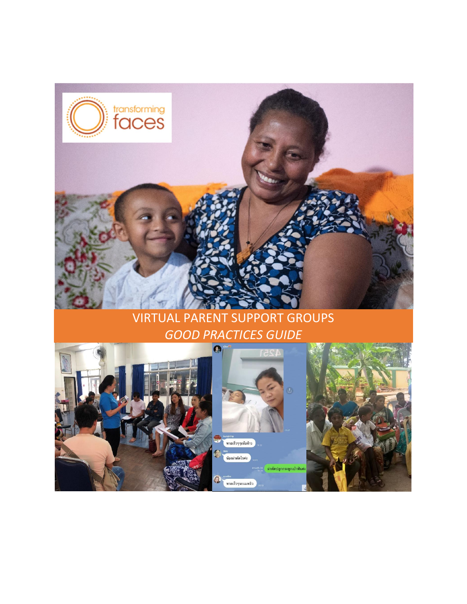

## VIRTUAL PARENT SUPPORT GROUPS *GOOD PRACTICES GUIDE*